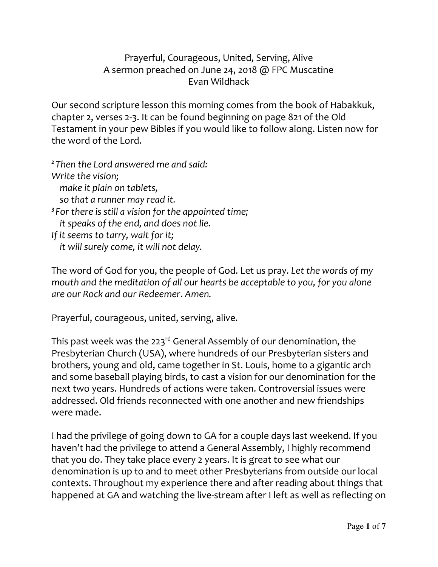## Prayerful, Courageous, United, Serving, Alive A sermon preached on June 24, 2018 @ FPC Muscatine Evan Wildhack

Our second scripture lesson this morning comes from the book of Habakkuk, chapter 2, verses 2-3. It can be found beginning on page 821 of the Old Testament in your pew Bibles if you would like to follow along. Listen now for the word of the Lord.

*<sup>2</sup> Then the Lord answered me and said: Write the vision; make it plain on tablets, so that a runner may read it. <sup>3</sup> For there is still a vision for the appointed time; it speaks of the end, and does not lie. If it seems to tarry, wait for it; it will surely come, it will not delay.*

The word of God for you, the people of God. Let us pray. *Let the words of my mouth and the meditation of all our hearts be acceptable to you, for you alone are our Rock and our Redeemer*. *Amen.*

Prayerful, courageous, united, serving, alive.

This past week was the 223<sup>rd</sup> General Assembly of our denomination, the Presbyterian Church (USA), where hundreds of our Presbyterian sisters and brothers, young and old, came together in St. Louis, home to a gigantic arch and some baseball playing birds, to cast a vision for our denomination for the next two years. Hundreds of actions were taken. Controversial issues were addressed. Old friends reconnected with one another and new friendships were made.

I had the privilege of going down to GA for a couple days last weekend. If you haven't had the privilege to attend a General Assembly, I highly recommend that you do. They take place every 2 years. It is great to see what our denomination is up to and to meet other Presbyterians from outside our local contexts. Throughout my experience there and after reading about things that happened at GA and watching the live-stream after I left as well as reflecting on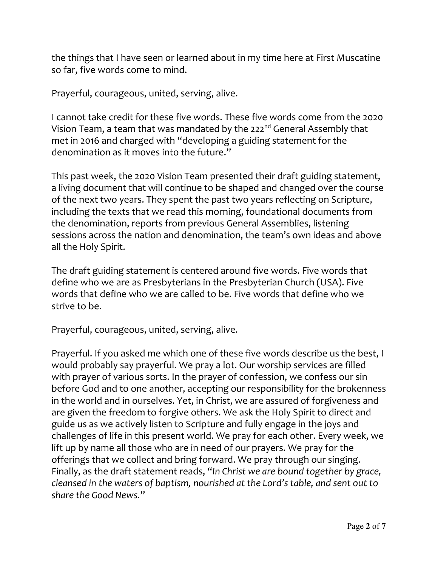the things that I have seen or learned about in my time here at First Muscatine so far, five words come to mind.

Prayerful, courageous, united, serving, alive.

I cannot take credit for these five words. These five words come from the 2020 Vision Team, a team that was mandated by the 222<sup>nd</sup> General Assembly that met in 2016 and charged with "developing a guiding statement for the denomination as it moves into the future."

This past week, the 2020 Vision Team presented their draft guiding statement, a living document that will continue to be shaped and changed over the course of the next two years. They spent the past two years reflecting on Scripture, including the texts that we read this morning, foundational documents from the denomination, reports from previous General Assemblies, listening sessions across the nation and denomination, the team's own ideas and above all the Holy Spirit.

The draft guiding statement is centered around five words. Five words that define who we are as Presbyterians in the Presbyterian Church (USA). Five words that define who we are called to be. Five words that define who we strive to be.

Prayerful, courageous, united, serving, alive.

Prayerful. If you asked me which one of these five words describe us the best, I would probably say prayerful. We pray a lot. Our worship services are filled with prayer of various sorts. In the prayer of confession, we confess our sin before God and to one another, accepting our responsibility for the brokenness in the world and in ourselves. Yet, in Christ, we are assured of forgiveness and are given the freedom to forgive others. We ask the Holy Spirit to direct and guide us as we actively listen to Scripture and fully engage in the joys and challenges of life in this present world. We pray for each other. Every week, we lift up by name all those who are in need of our prayers. We pray for the offerings that we collect and bring forward. We pray through our singing. Finally, as the draft statement reads, "*In Christ we are bound together by grace, cleansed in the waters of baptism, nourished at the Lord's table, and sent out to share the Good News.*"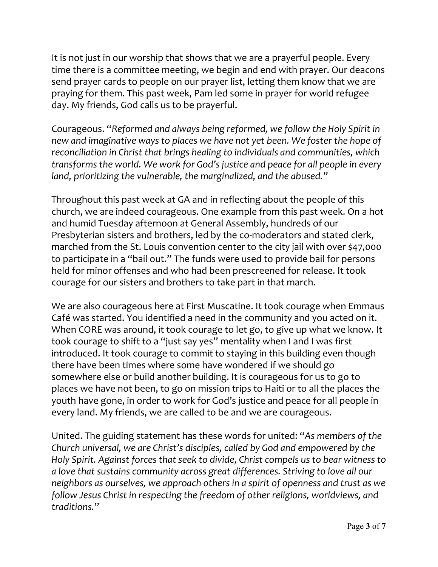It is not just in our worship that shows that we are a prayerful people. Every time there is a committee meeting, we begin and end with prayer. Our deacons send prayer cards to people on our prayer list, letting them know that we are praying for them. This past week, Pam led some in prayer for world refugee day. My friends, God calls us to be prayerful.

Courageous. "*Reformed and always being reformed, we follow the Holy Spirit in new and imaginative ways to places we have not yet been. We foster the hope of reconciliation in Christ that brings healing to individuals and communities, which transforms the world. We work for God's justice and peace for all people in every land, prioritizing the vulnerable, the marginalized, and the abused."*

Throughout this past week at GA and in reflecting about the people of this church, we are indeed courageous. One example from this past week. On a hot and humid Tuesday afternoon at General Assembly, hundreds of our Presbyterian sisters and brothers, led by the co-moderators and stated clerk, marched from the St. Louis convention center to the city jail with over \$47,000 to participate in a "bail out." The funds were used to provide bail for persons held for minor offenses and who had been prescreened for release. It took courage for our sisters and brothers to take part in that march.

We are also courageous here at First Muscatine. It took courage when Emmaus Café was started. You identified a need in the community and you acted on it. When CORE was around, it took courage to let go, to give up what we know. It took courage to shift to a "just say yes" mentality when I and I was first introduced. It took courage to commit to staying in this building even though there have been times where some have wondered if we should go somewhere else or build another building. It is courageous for us to go to places we have not been, to go on mission trips to Haiti or to all the places the youth have gone, in order to work for God's justice and peace for all people in every land. My friends, we are called to be and we are courageous.

United. The guiding statement has these words for united: "*As members of the Church universal, we are Christ's disciples, called by God and empowered by the Holy Spirit. Against forces that seek to divide, Christ compels us to bear witness to a love that sustains community across great differences. Striving to love all our neighbors as ourselves, we approach others in a spirit of openness and trust as we follow Jesus Christ in respecting the freedom of other religions, worldviews, and traditions.*"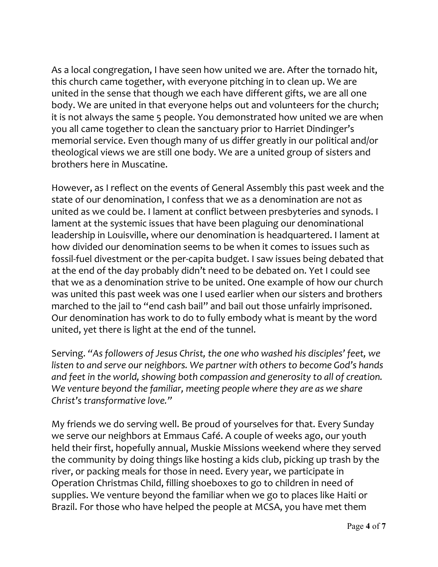As a local congregation, I have seen how united we are. After the tornado hit, this church came together, with everyone pitching in to clean up. We are united in the sense that though we each have different gifts, we are all one body. We are united in that everyone helps out and volunteers for the church; it is not always the same 5 people. You demonstrated how united we are when you all came together to clean the sanctuary prior to Harriet Dindinger's memorial service. Even though many of us differ greatly in our political and/or theological views we are still one body. We are a united group of sisters and brothers here in Muscatine.

However, as I reflect on the events of General Assembly this past week and the state of our denomination, I confess that we as a denomination are not as united as we could be. I lament at conflict between presbyteries and synods. I lament at the systemic issues that have been plaguing our denominational leadership in Louisville, where our denomination is headquartered. I lament at how divided our denomination seems to be when it comes to issues such as fossil-fuel divestment or the per-capita budget. I saw issues being debated that at the end of the day probably didn't need to be debated on. Yet I could see that we as a denomination strive to be united. One example of how our church was united this past week was one I used earlier when our sisters and brothers marched to the jail to "end cash bail" and bail out those unfairly imprisoned. Our denomination has work to do to fully embody what is meant by the word united, yet there is light at the end of the tunnel.

Serving. *"As followers of Jesus Christ, the one who washed his disciples' feet, we listen to and serve our neighbors. We partner with others to become God's hands and feet in the world, showing both compassion and generosity to all of creation. We venture beyond the familiar, meeting people where they are as we share Christ's transformative love."*

My friends we do serving well. Be proud of yourselves for that. Every Sunday we serve our neighbors at Emmaus Café. A couple of weeks ago, our youth held their first, hopefully annual, Muskie Missions weekend where they served the community by doing things like hosting a kids club, picking up trash by the river, or packing meals for those in need. Every year, we participate in Operation Christmas Child, filling shoeboxes to go to children in need of supplies. We venture beyond the familiar when we go to places like Haiti or Brazil. For those who have helped the people at MCSA, you have met them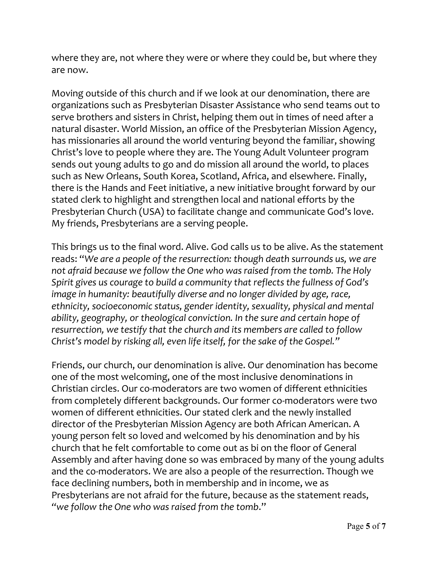where they are, not where they were or where they could be, but where they are now.

Moving outside of this church and if we look at our denomination, there are organizations such as Presbyterian Disaster Assistance who send teams out to serve brothers and sisters in Christ, helping them out in times of need after a natural disaster. World Mission, an office of the Presbyterian Mission Agency, has missionaries all around the world venturing beyond the familiar, showing Christ's love to people where they are. The Young Adult Volunteer program sends out young adults to go and do mission all around the world, to places such as New Orleans, South Korea, Scotland, Africa, and elsewhere. Finally, there is the Hands and Feet initiative, a new initiative brought forward by our stated clerk to highlight and strengthen local and national efforts by the Presbyterian Church (USA) to facilitate change and communicate God's love. My friends, Presbyterians are a serving people.

This brings us to the final word. Alive. God calls us to be alive. As the statement reads: "*We are a people of the resurrection: though death surrounds us, we are not afraid because we follow the One who was raised from the tomb. The Holy Spirit gives us courage to build a community that reflects the fullness of God's image in humanity: beautifully diverse and no longer divided by age, race, ethnicity, socioeconomic status, gender identity, sexuality, physical and mental ability, geography, or theological conviction. In the sure and certain hope of resurrection, we testify that the church and its members are called to follow Christ's model by risking all, even life itself, for the sake of the Gospel."*

Friends, our church, our denomination is alive. Our denomination has become one of the most welcoming, one of the most inclusive denominations in Christian circles. Our co-moderators are two women of different ethnicities from completely different backgrounds. Our former co-moderators were two women of different ethnicities. Our stated clerk and the newly installed director of the Presbyterian Mission Agency are both African American. A young person felt so loved and welcomed by his denomination and by his church that he felt comfortable to come out as bi on the floor of General Assembly and after having done so was embraced by many of the young adults and the co-moderators. We are also a people of the resurrection. Though we face declining numbers, both in membership and in income, we as Presbyterians are not afraid for the future, because as the statement reads, *"we follow the One who was raised from the tomb*."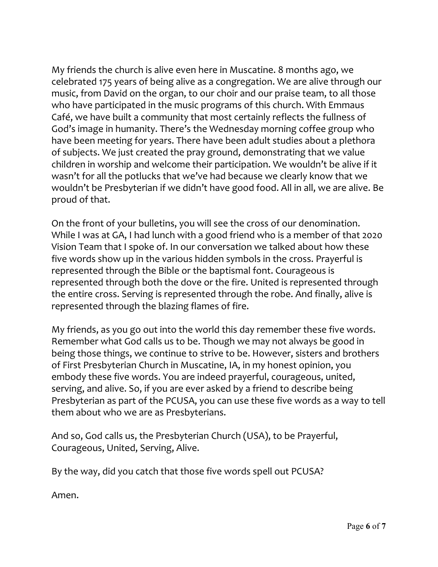My friends the church is alive even here in Muscatine. 8 months ago, we celebrated 175 years of being alive as a congregation. We are alive through our music, from David on the organ, to our choir and our praise team, to all those who have participated in the music programs of this church. With Emmaus Café, we have built a community that most certainly reflects the fullness of God's image in humanity. There's the Wednesday morning coffee group who have been meeting for years. There have been adult studies about a plethora of subjects. We just created the pray ground, demonstrating that we value children in worship and welcome their participation. We wouldn't be alive if it wasn't for all the potlucks that we've had because we clearly know that we wouldn't be Presbyterian if we didn't have good food. All in all, we are alive. Be proud of that.

On the front of your bulletins, you will see the cross of our denomination. While I was at GA, I had lunch with a good friend who is a member of that 2020 Vision Team that I spoke of. In our conversation we talked about how these five words show up in the various hidden symbols in the cross. Prayerful is represented through the Bible or the baptismal font. Courageous is represented through both the dove or the fire. United is represented through the entire cross. Serving is represented through the robe. And finally, alive is represented through the blazing flames of fire.

My friends, as you go out into the world this day remember these five words. Remember what God calls us to be. Though we may not always be good in being those things, we continue to strive to be. However, sisters and brothers of First Presbyterian Church in Muscatine, IA, in my honest opinion, you embody these five words. You are indeed prayerful, courageous, united, serving, and alive. So, if you are ever asked by a friend to describe being Presbyterian as part of the PCUSA, you can use these five words as a way to tell them about who we are as Presbyterians.

And so, God calls us, the Presbyterian Church (USA), to be Prayerful, Courageous, United, Serving, Alive.

By the way, did you catch that those five words spell out PCUSA?

Amen.